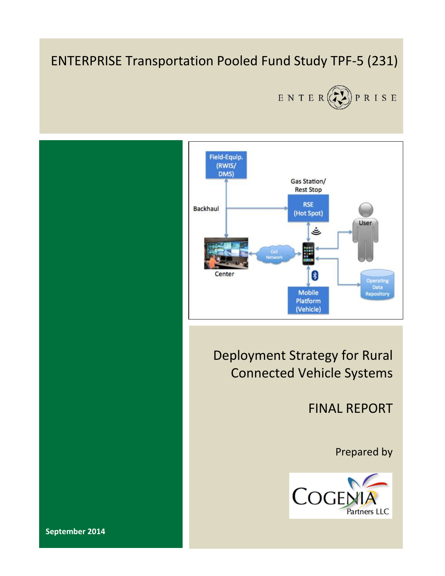## ENTERPRISE Transportation Pooled Fund Study TPF-5 (231)





FINAL REPORT

Prepared by



**September 2014**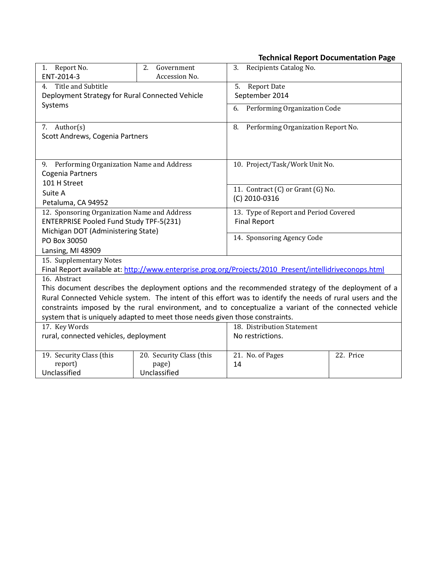#### **Technical Report Documentation Page**

| Report No.<br>1.<br>ENT-2014-3                                                                             | 2.<br>Government<br>Accession No. | Recipients Catalog No.<br>3.                                                                            |           |  |
|------------------------------------------------------------------------------------------------------------|-----------------------------------|---------------------------------------------------------------------------------------------------------|-----------|--|
| Title and Subtitle<br>4.                                                                                   |                                   | 5.<br><b>Report Date</b>                                                                                |           |  |
| Deployment Strategy for Rural Connected Vehicle                                                            |                                   | September 2014                                                                                          |           |  |
| Systems                                                                                                    |                                   | Performing Organization Code<br>6.                                                                      |           |  |
|                                                                                                            |                                   |                                                                                                         |           |  |
| 7. Author(s)                                                                                               |                                   | Performing Organization Report No.<br>8.                                                                |           |  |
| Scott Andrews, Cogenia Partners                                                                            |                                   |                                                                                                         |           |  |
|                                                                                                            |                                   |                                                                                                         |           |  |
| 9. Performing Organization Name and Address                                                                |                                   | 10. Project/Task/Work Unit No.                                                                          |           |  |
| Cogenia Partners                                                                                           |                                   |                                                                                                         |           |  |
| 101 H Street                                                                                               |                                   | 11. Contract (C) or Grant (G) No.                                                                       |           |  |
| Suite A                                                                                                    |                                   | (C) 2010-0316                                                                                           |           |  |
| Petaluma, CA 94952                                                                                         |                                   |                                                                                                         |           |  |
| 12. Sponsoring Organization Name and Address                                                               |                                   | 13. Type of Report and Period Covered                                                                   |           |  |
| <b>ENTERPRISE Pooled Fund Study TPF-5(231)</b>                                                             |                                   | <b>Final Report</b>                                                                                     |           |  |
| Michigan DOT (Administering State)                                                                         |                                   | 14. Sponsoring Agency Code                                                                              |           |  |
| PO Box 30050                                                                                               |                                   |                                                                                                         |           |  |
| Lansing, MI 48909                                                                                          |                                   |                                                                                                         |           |  |
| 15. Supplementary Notes                                                                                    |                                   |                                                                                                         |           |  |
|                                                                                                            |                                   | Final Report available at: http://www.enterprise.prog.org/Projects/2010_Present/intellidriveconops.html |           |  |
| 16. Abstract                                                                                               |                                   |                                                                                                         |           |  |
| This document describes the deployment options and the recommended strategy of the deployment of a         |                                   |                                                                                                         |           |  |
| Rural Connected Vehicle system. The intent of this effort was to identify the needs of rural users and the |                                   |                                                                                                         |           |  |
| constraints imposed by the rural environment, and to conceptualize a variant of the connected vehicle      |                                   |                                                                                                         |           |  |
| system that is uniquely adapted to meet those needs given those constraints.                               |                                   |                                                                                                         |           |  |
| 17. Key Words                                                                                              |                                   | 18. Distribution Statement                                                                              |           |  |
| rural, connected vehicles, deployment                                                                      |                                   | No restrictions.                                                                                        |           |  |
| 19. Security Class (this                                                                                   | 20. Security Class (this          | 21. No. of Pages                                                                                        | 22. Price |  |
| report)                                                                                                    | page)                             | 14                                                                                                      |           |  |
| Unclassified                                                                                               | Unclassified                      |                                                                                                         |           |  |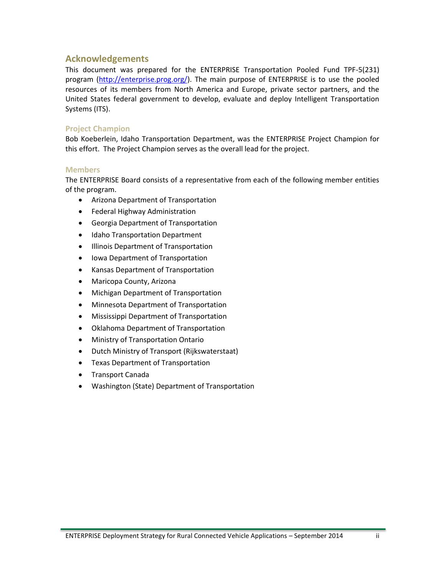#### **Acknowledgements**

This document was prepared for the ENTERPRISE Transportation Pooled Fund TPF-5(231) program [\(http://enterprise.prog.org/\)](http://enterprise.prog.org/). The main purpose of ENTERPRISE is to use the pooled resources of its members from North America and Europe, private sector partners, and the United States federal government to develop, evaluate and deploy Intelligent Transportation Systems (ITS).

#### **Project Champion**

Bob Koeberlein, Idaho Transportation Department, was the ENTERPRISE Project Champion for this effort. The Project Champion serves as the overall lead for the project.

#### **Members**

The ENTERPRISE Board consists of a representative from each of the following member entities of the program.

- Arizona Department of Transportation
- Federal Highway Administration
- Georgia Department of Transportation
- Idaho Transportation Department
- **•** Illinois Department of Transportation
- Iowa Department of Transportation
- Kansas Department of Transportation
- Maricopa County, Arizona
- Michigan Department of Transportation
- Minnesota Department of Transportation
- Mississippi Department of Transportation
- Oklahoma Department of Transportation
- Ministry of Transportation Ontario
- Dutch Ministry of Transport (Rijkswaterstaat)
- Texas Department of Transportation
- **•** Transport Canada
- Washington (State) Department of Transportation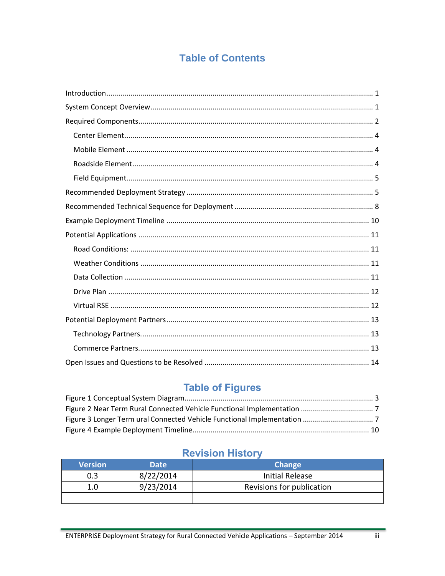## **Table of Contents**

## **Table of Figures**

## **Revision History**

| <b>Version</b> | <b>Date</b> | <b>Change</b>             |
|----------------|-------------|---------------------------|
| 0.3            | 8/22/2014   | Initial Release           |
| 1.0            | 9/23/2014   | Revisions for publication |
|                |             |                           |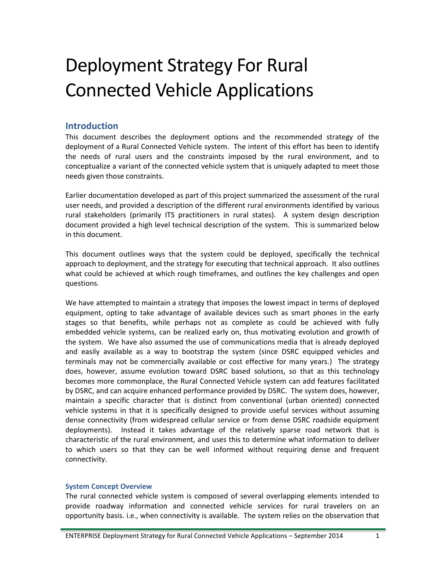# Deployment Strategy For Rural Connected Vehicle Applications

#### <span id="page-4-0"></span>**Introduction**

This document describes the deployment options and the recommended strategy of the deployment of a Rural Connected Vehicle system. The intent of this effort has been to identify the needs of rural users and the constraints imposed by the rural environment, and to conceptualize a variant of the connected vehicle system that is uniquely adapted to meet those needs given those constraints.

Earlier documentation developed as part of this project summarized the assessment of the rural user needs, and provided a description of the different rural environments identified by various rural stakeholders (primarily ITS practitioners in rural states). A system design description document provided a high level technical description of the system. This is summarized below in this document.

This document outlines ways that the system could be deployed, specifically the technical approach to deployment, and the strategy for executing that technical approach. It also outlines what could be achieved at which rough timeframes, and outlines the key challenges and open questions.

We have attempted to maintain a strategy that imposes the lowest impact in terms of deployed equipment, opting to take advantage of available devices such as smart phones in the early stages so that benefits, while perhaps not as complete as could be achieved with fully embedded vehicle systems, can be realized early on, thus motivating evolution and growth of the system. We have also assumed the use of communications media that is already deployed and easily available as a way to bootstrap the system (since DSRC equipped vehicles and terminals may not be commercially available or cost effective for many years.) The strategy does, however, assume evolution toward DSRC based solutions, so that as this technology becomes more commonplace, the Rural Connected Vehicle system can add features facilitated by DSRC, and can acquire enhanced performance provided by DSRC. The system does, however, maintain a specific character that is distinct from conventional (urban oriented) connected vehicle systems in that it is specifically designed to provide useful services without assuming dense connectivity (from widespread cellular service or from dense DSRC roadside equipment deployments). Instead it takes advantage of the relatively sparse road network that is characteristic of the rural environment, and uses this to determine what information to deliver to which users so that they can be well informed without requiring dense and frequent connectivity.

#### <span id="page-4-1"></span>**System Concept Overview**

The rural connected vehicle system is composed of several overlapping elements intended to provide roadway information and connected vehicle services for rural travelers on an opportunity basis. i.e., when connectivity is available. The system relies on the observation that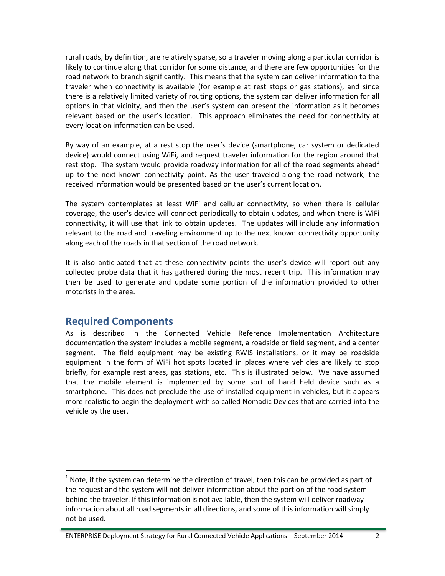rural roads, by definition, are relatively sparse, so a traveler moving along a particular corridor is likely to continue along that corridor for some distance, and there are few opportunities for the road network to branch significantly. This means that the system can deliver information to the traveler when connectivity is available (for example at rest stops or gas stations), and since there is a relatively limited variety of routing options, the system can deliver information for all options in that vicinity, and then the user's system can present the information as it becomes relevant based on the user's location. This approach eliminates the need for connectivity at every location information can be used.

By way of an example, at a rest stop the user's device (smartphone, car system or dedicated device) would connect using WiFi, and request traveler information for the region around that rest stop. The system would provide roadway information for all of the road segments ahead<sup>1</sup> up to the next known connectivity point. As the user traveled along the road network, the received information would be presented based on the user's current location.

The system contemplates at least WiFi and cellular connectivity, so when there is cellular coverage, the user's device will connect periodically to obtain updates, and when there is WiFi connectivity, it will use that link to obtain updates. The updates will include any information relevant to the road and traveling environment up to the next known connectivity opportunity along each of the roads in that section of the road network.

It is also anticipated that at these connectivity points the user's device will report out any collected probe data that it has gathered during the most recent trip. This information may then be used to generate and update some portion of the information provided to other motorists in the area.

### <span id="page-5-0"></span>**Required Components**

 $\overline{a}$ 

As is described in the Connected Vehicle Reference Implementation Architecture documentation the system includes a mobile segment, a roadside or field segment, and a center segment. The field equipment may be existing RWIS installations, or it may be roadside equipment in the form of WiFi hot spots located in places where vehicles are likely to stop briefly, for example rest areas, gas stations, etc. This is illustrated below. We have assumed that the mobile element is implemented by some sort of hand held device such as a smartphone. This does not preclude the use of installed equipment in vehicles, but it appears more realistic to begin the deployment with so called Nomadic Devices that are carried into the vehicle by the user.

ENTERPRISE Deployment Strategy for Rural Connected Vehicle Applications – September 2014 2

 $<sup>1</sup>$  Note, if the system can determine the direction of travel, then this can be provided as part of</sup> the request and the system will not deliver information about the portion of the road system behind the traveler. If this information is not available, then the system will deliver roadway information about all road segments in all directions, and some of this information will simply not be used.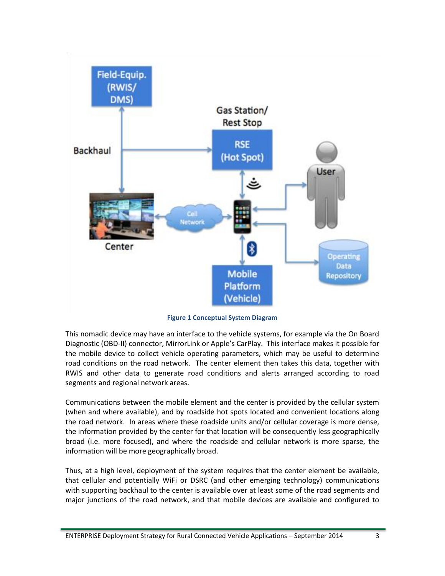

**Figure 1 Conceptual System Diagram**

This nomadic device may have an interface to the vehicle systems, for example via the On Board Diagnostic (OBD-II) connector, MirrorLink or Apple's CarPlay. This interface makes it possible for the mobile device to collect vehicle operating parameters, which may be useful to determine road conditions on the road network. The center element then takes this data, together with RWIS and other data to generate road conditions and alerts arranged according to road segments and regional network areas.

Communications between the mobile element and the center is provided by the cellular system (when and where available), and by roadside hot spots located and convenient locations along the road network. In areas where these roadside units and/or cellular coverage is more dense, the information provided by the center for that location will be consequently less geographically broad (i.e. more focused), and where the roadside and cellular network is more sparse, the information will be more geographically broad.

Thus, at a high level, deployment of the system requires that the center element be available, that cellular and potentially WiFi or DSRC (and other emerging technology) communications with supporting backhaul to the center is available over at least some of the road segments and major junctions of the road network, and that mobile devices are available and configured to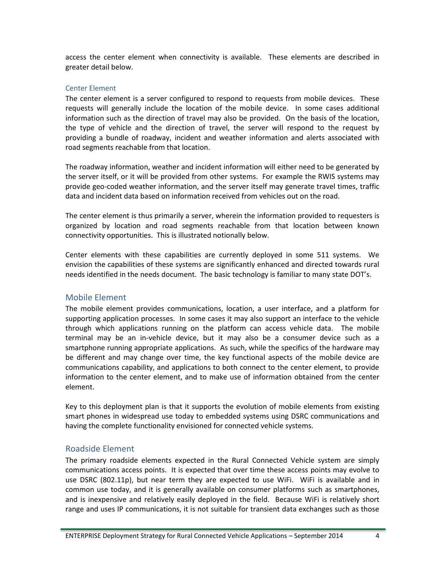access the center element when connectivity is available. These elements are described in greater detail below.

#### <span id="page-7-0"></span>Center Element

The center element is a server configured to respond to requests from mobile devices. These requests will generally include the location of the mobile device. In some cases additional information such as the direction of travel may also be provided. On the basis of the location, the type of vehicle and the direction of travel, the server will respond to the request by providing a bundle of roadway, incident and weather information and alerts associated with road segments reachable from that location.

The roadway information, weather and incident information will either need to be generated by the server itself, or it will be provided from other systems. For example the RWIS systems may provide geo-coded weather information, and the server itself may generate travel times, traffic data and incident data based on information received from vehicles out on the road.

The center element is thus primarily a server, wherein the information provided to requesters is organized by location and road segments reachable from that location between known connectivity opportunities. This is illustrated notionally below.

Center elements with these capabilities are currently deployed in some 511 systems. We envision the capabilities of these systems are significantly enhanced and directed towards rural needs identified in the needs document. The basic technology is familiar to many state DOT's.

#### <span id="page-7-1"></span>Mobile Element

The mobile element provides communications, location, a user interface, and a platform for supporting application processes. In some cases it may also support an interface to the vehicle through which applications running on the platform can access vehicle data. The mobile terminal may be an in-vehicle device, but it may also be a consumer device such as a smartphone running appropriate applications. As such, while the specifics of the hardware may be different and may change over time, the key functional aspects of the mobile device are communications capability, and applications to both connect to the center element, to provide information to the center element, and to make use of information obtained from the center element.

Key to this deployment plan is that it supports the evolution of mobile elements from existing smart phones in widespread use today to embedded systems using DSRC communications and having the complete functionality envisioned for connected vehicle systems.

#### <span id="page-7-2"></span>Roadside Element

The primary roadside elements expected in the Rural Connected Vehicle system are simply communications access points. It is expected that over time these access points may evolve to use DSRC (802.11p), but near term they are expected to use WiFi. WiFi is available and in common use today, and it is generally available on consumer platforms such as smartphones, and is inexpensive and relatively easily deployed in the field. Because WiFi is relatively short range and uses IP communications, it is not suitable for transient data exchanges such as those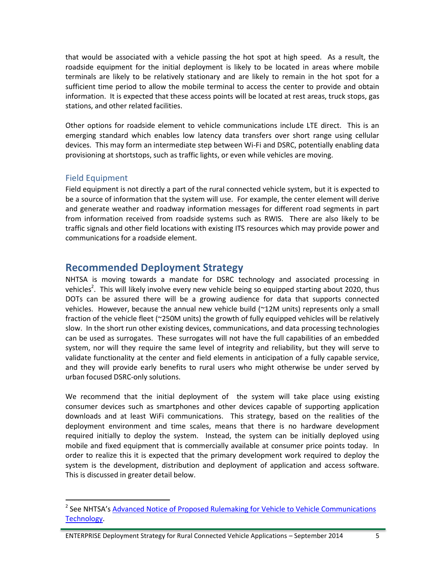that would be associated with a vehicle passing the hot spot at high speed. As a result, the roadside equipment for the initial deployment is likely to be located in areas where mobile terminals are likely to be relatively stationary and are likely to remain in the hot spot for a sufficient time period to allow the mobile terminal to access the center to provide and obtain information. It is expected that these access points will be located at rest areas, truck stops, gas stations, and other related facilities.

Other options for roadside element to vehicle communications include LTE direct. This is an emerging standard which enables low latency data transfers over short range using cellular devices. This may form an intermediate step between Wi-Fi and DSRC, potentially enabling data provisioning at shortstops, such as traffic lights, or even while vehicles are moving.

#### <span id="page-8-0"></span>Field Equipment

 $\overline{a}$ 

Field equipment is not directly a part of the rural connected vehicle system, but it is expected to be a source of information that the system will use. For example, the center element will derive and generate weather and roadway information messages for different road segments in part from information received from roadside systems such as RWIS. There are also likely to be traffic signals and other field locations with existing ITS resources which may provide power and communications for a roadside element.

#### <span id="page-8-1"></span>**Recommended Deployment Strategy**

NHTSA is moving towards a mandate for DSRC technology and associated processing in vehicles<sup>2</sup>. This will likely involve every new vehicle being so equipped starting about 2020, thus DOTs can be assured there will be a growing audience for data that supports connected vehicles. However, because the annual new vehicle build (~12M units) represents only a small fraction of the vehicle fleet (~250M units) the growth of fully equipped vehicles will be relatively slow. In the short run other existing devices, communications, and data processing technologies can be used as surrogates. These surrogates will not have the full capabilities of an embedded system, nor will they require the same level of integrity and reliability, but they will serve to validate functionality at the center and field elements in anticipation of a fully capable service, and they will provide early benefits to rural users who might otherwise be under served by urban focused DSRC-only solutions.

We recommend that the initial deployment of the system will take place using existing consumer devices such as smartphones and other devices capable of supporting application downloads and at least WiFi communications. This strategy, based on the realities of the deployment environment and time scales, means that there is no hardware development required initially to deploy the system. Instead, the system can be initially deployed using mobile and fixed equipment that is commercially available at consumer price points today. In order to realize this it is expected that the primary development work required to deploy the system is the development, distribution and deployment of application and access software. This is discussed in greater detail below.

ENTERPRISE Deployment Strategy for Rural Connected Vehicle Applications – September 2014 5

<sup>&</sup>lt;sup>2</sup> See NHTSA's Advanced Notice of Proposed Rulemaking for Vehicle to Vehicle Communications [Technology.](http://www.nhtsa.gov/About+NHTSA/Press+Releases/NHTSA-issues-advanced-notice-of-proposed-rulemaking-on-V2V-communications)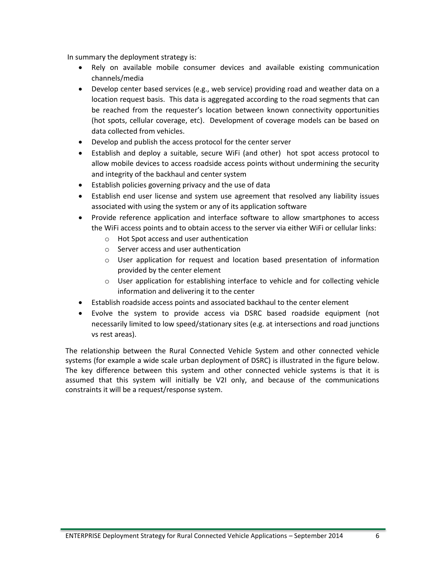In summary the deployment strategy is:

- Rely on available mobile consumer devices and available existing communication channels/media
- Develop center based services (e.g., web service) providing road and weather data on a location request basis. This data is aggregated according to the road segments that can be reached from the requester's location between known connectivity opportunities (hot spots, cellular coverage, etc). Development of coverage models can be based on data collected from vehicles.
- Develop and publish the access protocol for the center server
- Establish and deploy a suitable, secure WiFi (and other) hot spot access protocol to allow mobile devices to access roadside access points without undermining the security and integrity of the backhaul and center system
- Establish policies governing privacy and the use of data
- Establish end user license and system use agreement that resolved any liability issues associated with using the system or any of its application software
- Provide reference application and interface software to allow smartphones to access the WiFi access points and to obtain access to the server via either WiFi or cellular links:
	- o Hot Spot access and user authentication
	- o Server access and user authentication
	- o User application for request and location based presentation of information provided by the center element
	- $\circ$  User application for establishing interface to vehicle and for collecting vehicle information and delivering it to the center
- Establish roadside access points and associated backhaul to the center element
- Evolve the system to provide access via DSRC based roadside equipment (not necessarily limited to low speed/stationary sites (e.g. at intersections and road junctions vs rest areas).

The relationship between the Rural Connected Vehicle System and other connected vehicle systems (for example a wide scale urban deployment of DSRC) is illustrated in the figure below. The key difference between this system and other connected vehicle systems is that it is assumed that this system will initially be V2I only, and because of the communications constraints it will be a request/response system.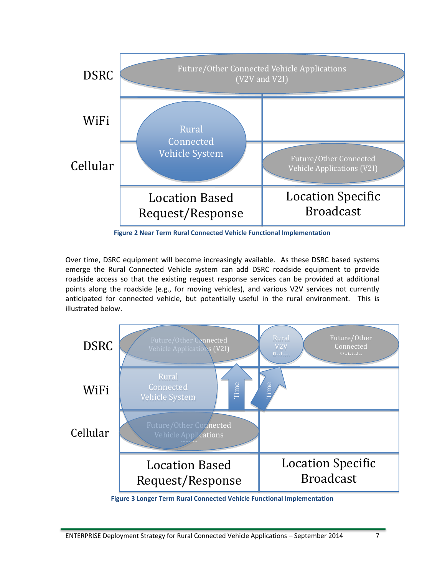

**Figure 2 Near Term Rural Connected Vehicle Functional Implementation**

Over time, DSRC equipment will become increasingly available. As these DSRC based systems emerge the Rural Connected Vehicle system can add DSRC roadside equipment to provide roadside access so that the existing request response services can be provided at additional points along the roadside (e.g., for moving vehicles), and various V2V services not currently anticipated for connected vehicle, but potentially useful in the rural environment. This is illustrated below.



**Figure 3 Longer Term Rural Connected Vehicle Functional Implementation**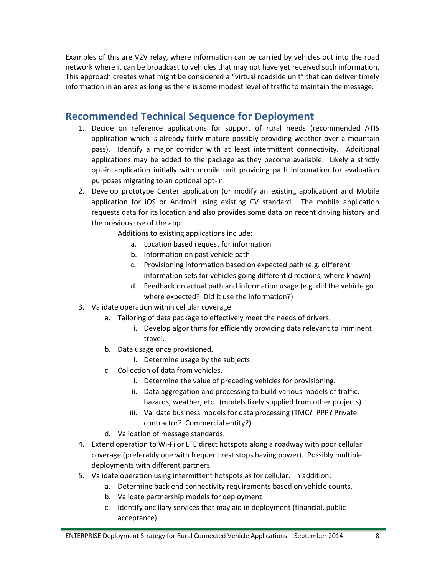Examples of this are V2V relay, where information can be carried by vehicles out into the road network where it can be broadcast to vehicles that may not have yet received such information. This approach creates what might be considered a "virtual roadside unit" that can deliver timely information in an area as long as there is some modest level of traffic to maintain the message.

## <span id="page-11-0"></span>**Recommended Technical Sequence for Deployment**

- 1. Decide on reference applications for support of rural needs (recommended ATIS application which is already fairly mature possibly providing weather over a mountain pass). Identify a major corridor with at least intermittent connectivity. Additional applications may be added to the package as they become available. Likely a strictly opt-in application initially with mobile unit providing path information for evaluation purposes migrating to an optional opt-in.
- 2. Develop prototype Center application (or modify an existing application) and Mobile application for iOS or Android using existing CV standard. The mobile application requests data for its location and also provides some data on recent driving history and the previous use of the app.

Additions to existing applications include:

- a. Location based request for information
- b. Information on past vehicle path
- c. Provisioning information based on expected path (e.g. different information sets for vehicles going different directions, where known)
- d. Feedback on actual path and information usage (e.g. did the vehicle go where expected? Did it use the information?)
- 3. Validate operation within cellular coverage.
	- a. Tailoring of data package to effectively meet the needs of drivers.
		- i. Develop algorithms for efficiently providing data relevant to imminent travel.
	- b. Data usage once provisioned.
		- i. Determine usage by the subjects.
	- c. Collection of data from vehicles.
		- i. Determine the value of preceding vehicles for provisioning.
		- ii. Data aggregation and processing to build various models of traffic, hazards, weather, etc. (models likely supplied from other projects)
		- iii. Validate business models for data processing (TMC? PPP? Private contractor? Commercial entity?)
	- d. Validation of message standards.
- 4. Extend operation to Wi-Fi or LTE direct hotspots along a roadway with poor cellular coverage (preferably one with frequent rest stops having power). Possibly multiple deployments with different partners.
- 5. Validate operation using intermittent hotspots as for cellular. In addition:
	- a. Determine back end connectivity requirements based on vehicle counts.
	- b. Validate partnership models for deployment
	- c. Identify ancillary services that may aid in deployment (financial, public acceptance)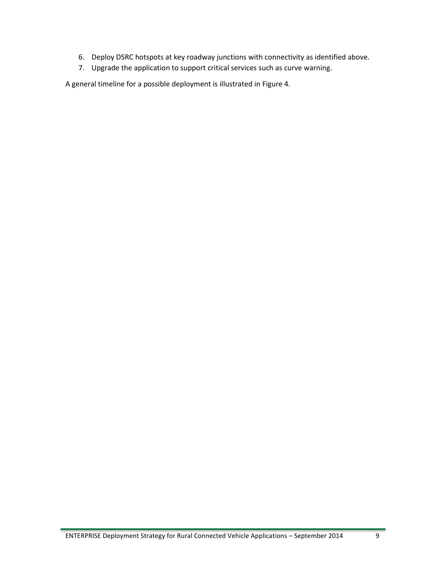- 6. Deploy DSRC hotspots at key roadway junctions with connectivity as identified above.
- 7. Upgrade the application to support critical services such as curve warning.

A general timeline for a possible deployment is illustrated in Figure 4.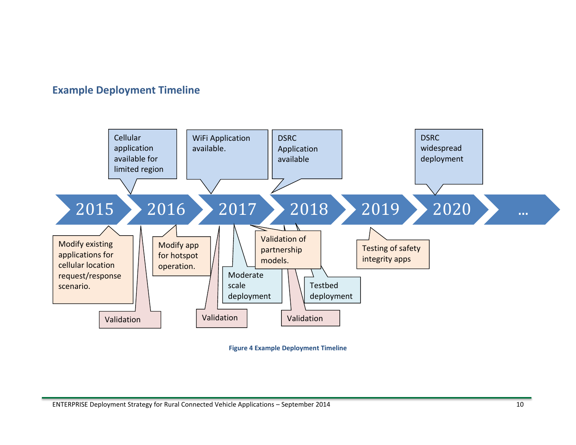## **Example Deployment Timeline**

<span id="page-13-0"></span>

**Figure 4 Example Deployment Timeline**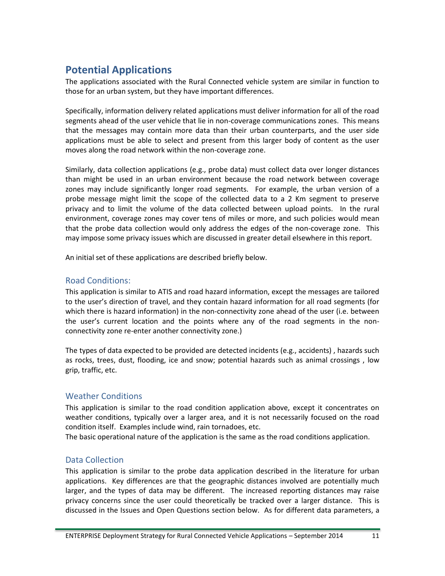## <span id="page-14-0"></span>**Potential Applications**

The applications associated with the Rural Connected vehicle system are similar in function to those for an urban system, but they have important differences.

Specifically, information delivery related applications must deliver information for all of the road segments ahead of the user vehicle that lie in non-coverage communications zones. This means that the messages may contain more data than their urban counterparts, and the user side applications must be able to select and present from this larger body of content as the user moves along the road network within the non-coverage zone.

Similarly, data collection applications (e.g., probe data) must collect data over longer distances than might be used in an urban environment because the road network between coverage zones may include significantly longer road segments. For example, the urban version of a probe message might limit the scope of the collected data to a 2 Km segment to preserve privacy and to limit the volume of the data collected between upload points. In the rural environment, coverage zones may cover tens of miles or more, and such policies would mean that the probe data collection would only address the edges of the non-coverage zone. This may impose some privacy issues which are discussed in greater detail elsewhere in this report.

An initial set of these applications are described briefly below.

#### <span id="page-14-1"></span>Road Conditions:

This application is similar to ATIS and road hazard information, except the messages are tailored to the user's direction of travel, and they contain hazard information for all road segments (for which there is hazard information) in the non-connectivity zone ahead of the user (i.e. between the user's current location and the points where any of the road segments in the nonconnectivity zone re-enter another connectivity zone.)

The types of data expected to be provided are detected incidents (e.g., accidents) , hazards such as rocks, trees, dust, flooding, ice and snow; potential hazards such as animal crossings , low grip, traffic, etc.

#### <span id="page-14-2"></span>Weather Conditions

This application is similar to the road condition application above, except it concentrates on weather conditions, typically over a larger area, and it is not necessarily focused on the road condition itself. Examples include wind, rain tornadoes, etc.

The basic operational nature of the application is the same as the road conditions application.

#### <span id="page-14-3"></span>Data Collection

This application is similar to the probe data application described in the literature for urban applications. Key differences are that the geographic distances involved are potentially much larger, and the types of data may be different. The increased reporting distances may raise privacy concerns since the user could theoretically be tracked over a larger distance. This is discussed in the Issues and Open Questions section below. As for different data parameters, a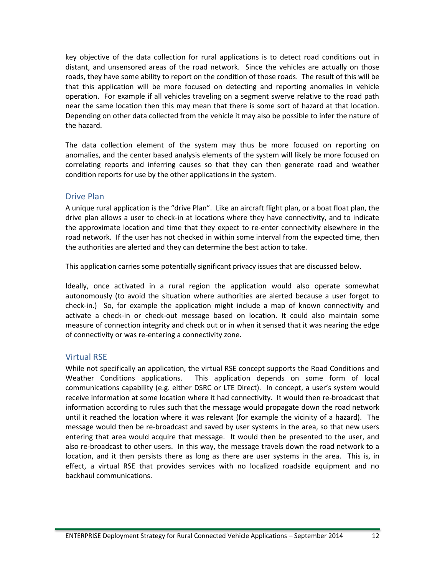key objective of the data collection for rural applications is to detect road conditions out in distant, and unsensored areas of the road network. Since the vehicles are actually on those roads, they have some ability to report on the condition of those roads. The result of this will be that this application will be more focused on detecting and reporting anomalies in vehicle operation. For example if all vehicles traveling on a segment swerve relative to the road path near the same location then this may mean that there is some sort of hazard at that location. Depending on other data collected from the vehicle it may also be possible to infer the nature of the hazard.

The data collection element of the system may thus be more focused on reporting on anomalies, and the center based analysis elements of the system will likely be more focused on correlating reports and inferring causes so that they can then generate road and weather condition reports for use by the other applications in the system.

#### <span id="page-15-0"></span>Drive Plan

A unique rural application is the "drive Plan". Like an aircraft flight plan, or a boat float plan, the drive plan allows a user to check-in at locations where they have connectivity, and to indicate the approximate location and time that they expect to re-enter connectivity elsewhere in the road network. If the user has not checked in within some interval from the expected time, then the authorities are alerted and they can determine the best action to take.

This application carries some potentially significant privacy issues that are discussed below.

Ideally, once activated in a rural region the application would also operate somewhat autonomously (to avoid the situation where authorities are alerted because a user forgot to check-in.) So, for example the application might include a map of known connectivity and activate a check-in or check-out message based on location. It could also maintain some measure of connection integrity and check out or in when it sensed that it was nearing the edge of connectivity or was re-entering a connectivity zone.

#### <span id="page-15-1"></span>Virtual RSE

While not specifically an application, the virtual RSE concept supports the Road Conditions and Weather Conditions applications. This application depends on some form of local communications capability (e.g. either DSRC or LTE Direct). In concept, a user's system would receive information at some location where it had connectivity. It would then re-broadcast that information according to rules such that the message would propagate down the road network until it reached the location where it was relevant (for example the vicinity of a hazard). The message would then be re-broadcast and saved by user systems in the area, so that new users entering that area would acquire that message. It would then be presented to the user, and also re-broadcast to other users. In this way, the message travels down the road network to a location, and it then persists there as long as there are user systems in the area. This is, in effect, a virtual RSE that provides services with no localized roadside equipment and no backhaul communications.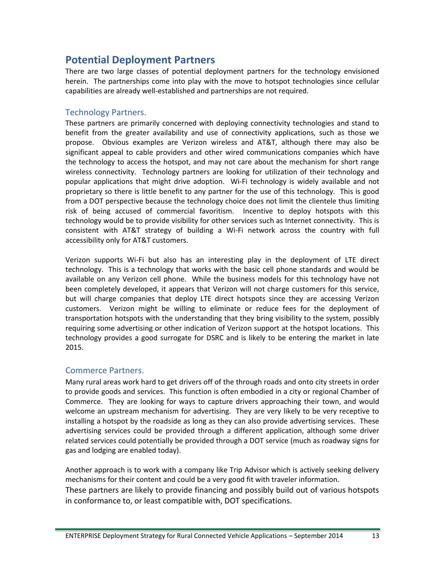## <span id="page-16-0"></span>**Potential Deployment Partners**

There are two large classes of potential deployment partners for the technology envisioned herein. The partnerships come into play with the move to hotspot technologies since cellular capabilities are already well-established and partnerships are not required.

#### <span id="page-16-1"></span>Technology Partners.

These partners are primarily concerned with deploying connectivity technologies and stand to benefit from the greater availability and use of connectivity applications, such as those we propose. Obvious examples are Verizon wireless and AT&T, although there may also be significant appeal to cable providers and other wired communications companies which have the technology to access the hotspot, and may not care about the mechanism for short range wireless connectivity. Technology partners are looking for utilization of their technology and popular applications that might drive adoption. Wi-Fi technology is widely available and not proprietary so there is little benefit to any partner for the use of this technology. This is good from a DOT perspective because the technology choice does not limit the clientele thus limiting risk of being accused of commercial favoritism. Incentive to deploy hotspots with this technology would be to provide visibility for other services such as Internet connectivity. This is consistent with AT&T strategy of building a Wi-Fi network across the country with full accessibility only for AT&T customers.

Verizon supports Wi-Fi but also has an interesting play in the deployment of LTE direct technology. This is a technology that works with the basic cell phone standards and would be available on any Verizon cell phone. While the business models for this technology have not been completely developed, it appears that Verizon will not charge customers for this service, but will charge companies that deploy LTE direct hotspots since they are accessing Verizon customers. Verizon might be willing to eliminate or reduce fees for the deployment of transportation hotspots with the understanding that they bring visibility to the system, possibly requiring some advertising or other indication of Verizon support at the hotspot locations. This technology provides a good surrogate for DSRC and is likely to be entering the market in late 2015.

#### <span id="page-16-2"></span>Commerce Partners.

Many rural areas work hard to get drivers off of the through roads and onto city streets in order to provide goods and services. This function is often embodied in a city or regional Chamber of Commerce. They are looking for ways to capture drivers approaching their town, and would welcome an upstream mechanism for advertising. They are very likely to be very receptive to installing a hotspot by the roadside as long as they can also provide advertising services. These advertising services could be provided through a different application, although some driver related services could potentially be provided through a DOT service (much as roadway signs for gas and lodging are enabled today).

Another approach is to work with a company like Trip Advisor which is actively seeking delivery mechanisms for their content and could be a very good fit with traveler information. These partners are likely to provide financing and possibly build out of various hotspots in conformance to, or least compatible with, DOT specifications.